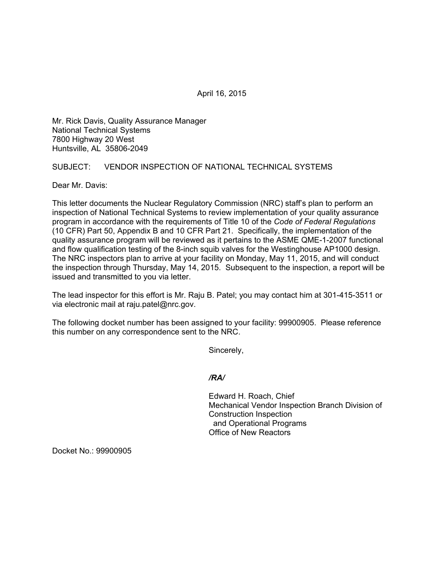April 16, 2015

Mr. Rick Davis, Quality Assurance Manager National Technical Systems 7800 Highway 20 West Huntsville, AL 35806-2049

## SUBJECT: VENDOR INSPECTION OF NATIONAL TECHNICAL SYSTEMS

Dear Mr. Davis:

This letter documents the Nuclear Regulatory Commission (NRC) staff's plan to perform an inspection of National Technical Systems to review implementation of your quality assurance program in accordance with the requirements of Title 10 of the *Code of Federal Regulations* (10 CFR) Part 50, Appendix B and 10 CFR Part 21. Specifically, the implementation of the quality assurance program will be reviewed as it pertains to the ASME QME-1-2007 functional and flow qualification testing of the 8-inch squib valves for the Westinghouse AP1000 design. The NRC inspectors plan to arrive at your facility on Monday, May 11, 2015, and will conduct the inspection through Thursday, May 14, 2015. Subsequent to the inspection, a report will be issued and transmitted to you via letter.

The lead inspector for this effort is Mr. Raju B. Patel; you may contact him at 301-415-3511 or via electronic mail at raju.patel@nrc.gov.

The following docket number has been assigned to your facility: 99900905. Please reference this number on any correspondence sent to the NRC.

Sincerely,

## */RA/*

Edward H. Roach, Chief Mechanical Vendor Inspection Branch Division of Construction Inspection and Operational Programs Office of New Reactors

Docket No.: 99900905